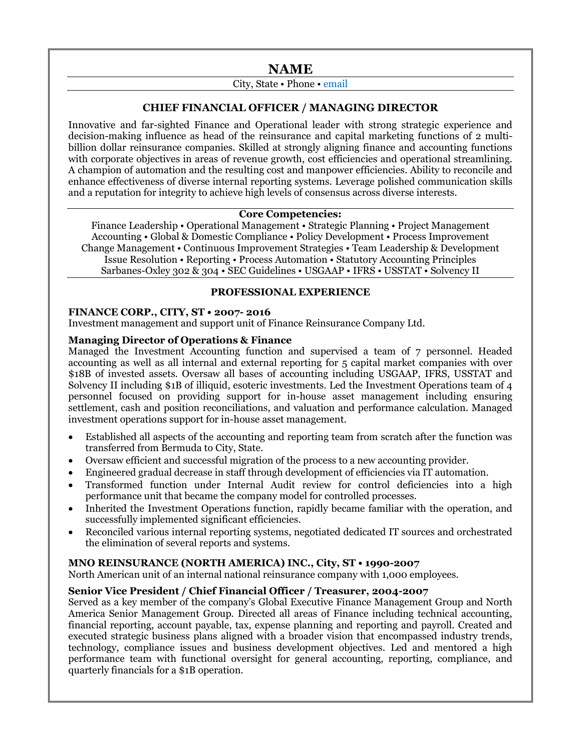# **NAME**

# City, State • Phone • email

## **CHIEF FINANCIAL OFFICER / MANAGING DIRECTOR**

Innovative and far-sighted Finance and Operational leader with strong strategic experience and decision-making influence as head of the reinsurance and capital marketing functions of 2 multibillion dollar reinsurance companies. Skilled at strongly aligning finance and accounting functions with corporate objectives in areas of revenue growth, cost efficiencies and operational streamlining. A champion of automation and the resulting cost and manpower efficiencies. Ability to reconcile and enhance effectiveness of diverse internal reporting systems. Leverage polished communication skills and a reputation for integrity to achieve high levels of consensus across diverse interests.

### **Core Competencies:**

Finance Leadership • Operational Management • Strategic Planning • Project Management Accounting • Global & Domestic Compliance • Policy Development • Process Improvement Change Management • Continuous Improvement Strategies • Team Leadership & Development Issue Resolution • Reporting • Process Automation • Statutory Accounting Principles Sarbanes-Oxley 302 & 304 • SEC Guidelines • USGAAP • IFRS • USSTAT • Solvency II

### **PROFESSIONAL EXPERIENCE**

### **FINANCE CORP., CITY, ST • 2007- 2016**

Investment management and support unit of Finance Reinsurance Company Ltd.

### **Managing Director of Operations & Finance**

Managed the Investment Accounting function and supervised a team of 7 personnel. Headed accounting as well as all internal and external reporting for 5 capital market companies with over \$18B of invested assets. Oversaw all bases of accounting including USGAAP, IFRS, USSTAT and Solvency II including \$1B of illiquid, esoteric investments. Led the Investment Operations team of 4 personnel focused on providing support for in-house asset management including ensuring settlement, cash and position reconciliations, and valuation and performance calculation. Managed investment operations support for in-house asset management.

- Established all aspects of the accounting and reporting team from scratch after the function was transferred from Bermuda to City, State.
- Oversaw efficient and successful migration of the process to a new accounting provider.
- Engineered gradual decrease in staff through development of efficiencies via IT automation.
- Transformed function under Internal Audit review for control deficiencies into a high performance unit that became the company model for controlled processes.
- Inherited the Investment Operations function, rapidly became familiar with the operation, and successfully implemented significant efficiencies.
- Reconciled various internal reporting systems, negotiated dedicated IT sources and orchestrated the elimination of several reports and systems.

## **MNO REINSURANCE (NORTH AMERICA) INC., City, ST • 1990-2007**

North American unit of an internal national reinsurance company with 1,000 employees.

### **Senior Vice President / Chief Financial Officer / Treasurer, 2004-2007**

Served as a key member of the company's Global Executive Finance Management Group and North America Senior Management Group. Directed all areas of Finance including technical accounting, financial reporting, account payable, tax, expense planning and reporting and payroll. Created and executed strategic business plans aligned with a broader vision that encompassed industry trends, technology, compliance issues and business development objectives. Led and mentored a high performance team with functional oversight for general accounting, reporting, compliance, and quarterly financials for a \$1B operation.